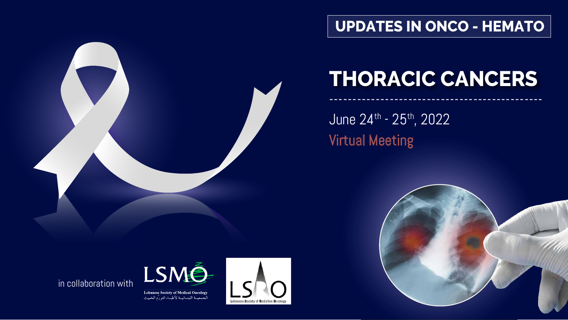June 24th - 25th, 2022 Virtual Meeting





----------------------------------------------



## **THORACIC CANCERS**





**Lebanese Society of Medical Oncology** الجمعيــة اللبنــانيــة لأطبــاء التورّم الخبيث



## **UPDATES IN ONCO - HEMATO**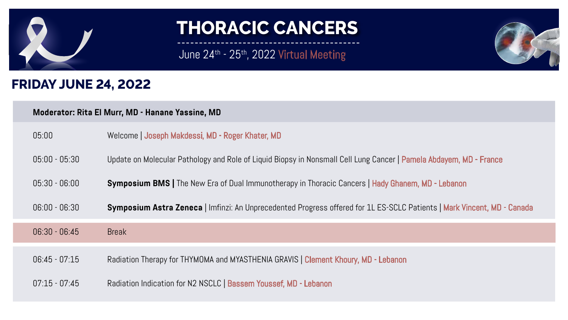

# June  $24$ <sup>th</sup> -  $25$ <sup>th</sup>,  $2022$  Virtual Meeting





- ordate on Diopsy in Nonsmall Cell Lung Cancer | Pamela Abdayem, MD France
- notherapy in Thoracic Cancers | Hady Ghanem, MD Lebanon
- cedented Progress offered for 1L ES-SCLC Patients | Mark Vincent, MD Canada

VIA GRAVIS | Clement Khoury, MD - Lebanon

ussef, MD - Lebanon



### **FRIDAY JUNE 24, 2022**

### **Moderator: Rita El Murr, MD - Hanane Yassine, MD**

| 05:00                           | Welcome   Joseph Makdessi, MD - Roger Khater, MD      |
|---------------------------------|-------------------------------------------------------|
| $05:00 - 05:30$                 | Update on Molecular Pathology and Role of Liquid Bi   |
| $05:30 - 06:00$                 | <b>Symposium BMS   The New Era of Dual Immunother</b> |
| $06:00 - 06:30$                 | Symposium Astra Zeneca   Imfinzi: An Unprecede        |
| $06:30 - 06:45$<br><b>Break</b> |                                                       |
| $06:45 - 07:15$                 | Radiation Therapy for THYMOMA and MYASTHENIA GF       |
| $07:15 - 07:45$                 | Radiation Indication for N2 NSCLC   Bassem Yousse     |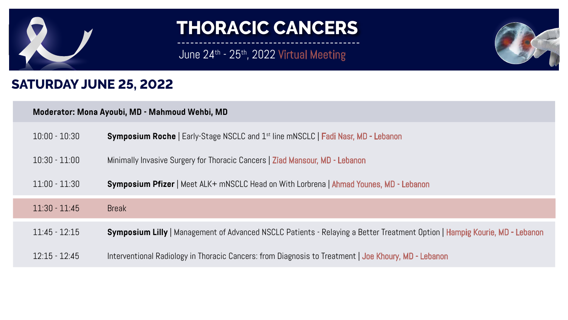

## June 24<sup>th</sup> - 25<sup>th</sup>, 2022 Virtual Meeting

### **SATURDAY JUNE 25, 2022**

### **Moderator: Mona Ayoubi, MD - Mahmoud Wehbi, MD**

| $10:00 - 10:30$ | <b>Symposium Roche   Early-Stage NSCLC and 1</b>  |
|-----------------|---------------------------------------------------|
| $10:30 - 11:00$ | Minimally Invasive Surgery for Thoracic Cancers   |
| $11:00 - 11:30$ | Symposium Pfizer   Meet ALK+ mNSCLC Head          |
| $11:30 - 11:45$ | <b>Break</b>                                      |
| $11:45 - 12:15$ | <b>Symposium Lilly   Management of Advanced N</b> |
| $12:15 - 12:45$ | Interventional Radiology in Thoracic Cancers: fre |





Ist line mNSCLC **| Fadi Nasr, MD - Lebanon** 

| Ziad Mansour, MD - Lebanon

I on With Lorbrena | **Ahmad Younes, MD - Lebanon** 

1SCLC Patients - Relaying a Better Treatment Option **| Hampig Kourie, MD - Lebanon** 

om Diagnosis to Treatment | Joe Khoury, MD - Lebanon